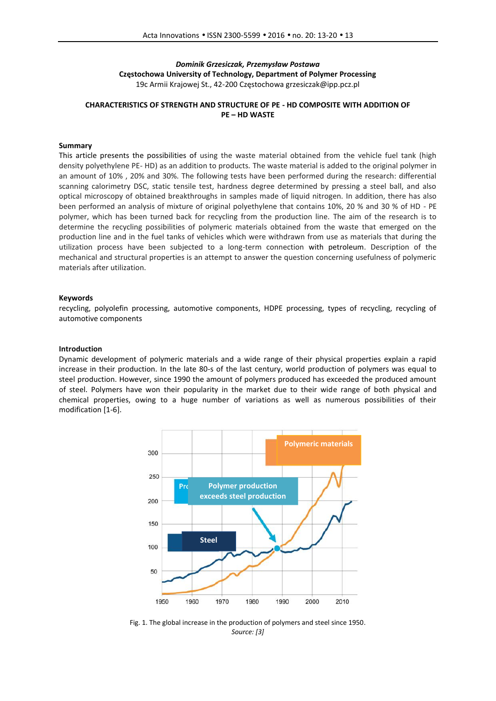# *Dominik Grzesiczak, Przemysław Postawa* **Częstochowa University of Technology, Department of Polymer Processing** 19c Armii Krajowej St., 42-200 Częstochowa grzesiczak@ipp.pcz.pl

# **CHARACTERISTICS OF STRENGTH AND STRUCTURE OF PE - HD COMPOSITE WITH ADDITION OF PE – HD WASTE**

## **Summary**

This article presents the possibilities of using the waste material obtained from the vehicle fuel tank (high density polyethylene PE- HD) as an addition to products*.* The waste material is added to the original polymer in an amount of 10% , 20% and 30%. The following tests have been performed during the research: differential scanning calorimetry DSC, static tensile test, hardness degree determined by pressing a steel ball, and also optical microscopy of obtained breakthroughs in samples made of liquid nitrogen. In addition, there has also been performed an analysis of mixture of original polyethylene that contains 10%, 20 % and 30 % of HD - PE polymer, which has been turned back for recycling from the production line. The aim of the research is to determine the recycling possibilities of polymeric materials obtained from the waste that emerged on the production line and in the fuel tanks of vehicles which were withdrawn from use as materials that during the utilization process have been subjected to a long-term connection with petroleum. Description of the mechanical and structural properties is an attempt to answer the question concerning usefulness of polymeric materials after utilization.

#### **Keywords**

recycling, polyolefin processing, automotive components, HDPE processing, types of recycling, recycling of automotive components

#### **Introduction**

Dynamic development of polymeric materials and a wide range of their physical properties explain a rapid increase in their production. In the late 80-s of the last century, world production of polymers was equal to steel production. However, since 1990 the amount of polymers produced has exceeded the produced amount of steel. Polymers have won their popularity in the market due to their wide range of both physical and chemical properties, owing to a huge number of variations as well as numerous possibilities of their modification [1-6].



Fig. 1. The global increase in the production of polymers and steel since 1950. *Source: [3]*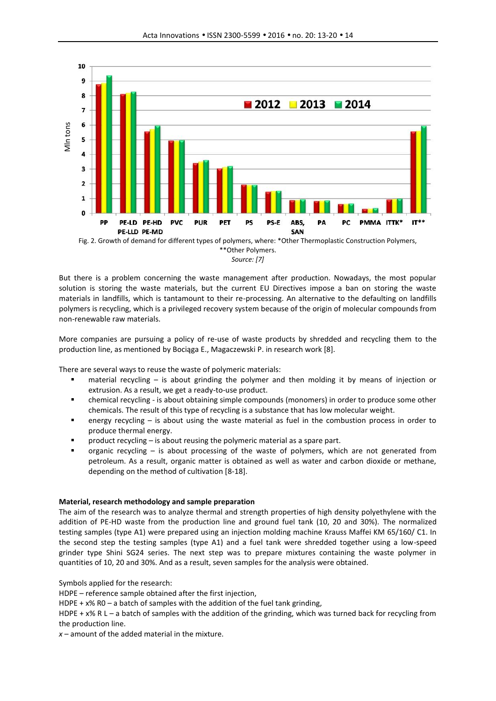

Fig. 2. Growth of demand for different types of polymers, where: \*Other Thermoplastic Construction Polymers, \*\*Other Polymers.

*Source: [7]*

But there is a problem concerning the waste management after production. Nowadays, the most popular solution is storing the waste materials, but the current EU Directives impose a ban on storing the waste materials in landfills, which is tantamount to their re-processing. An alternative to the defaulting on landfills polymers is recycling, which is a privileged recovery system because of the origin of molecular compounds from non-renewable raw materials.

More companies are pursuing a policy of re-use of waste products by shredded and recycling them to the production line, as mentioned by Bociąga E., Magaczewski P. in research work [8].

There are several ways to reuse the waste of polymeric materials:

- material recycling is about grinding the polymer and then molding it by means of injection or extrusion. As a result, we get a ready-to-use product.
- chemical recycling is about obtaining simple compounds (monomers) in order to produce some other chemicals. The result of this type of recycling is a substance that has low molecular weight.
- energy recycling is about using the waste material as fuel in the combustion process in order to produce thermal energy.
- product recycling is about reusing the polymeric material as a spare part.
- organic recycling is about processing of the waste of polymers, which are not generated from petroleum. As a result, organic matter is obtained as well as water and carbon dioxide or methane, depending on the method of cultivation [8-18].

# **Material, research methodology and sample preparation**

The aim of the research was to analyze thermal and strength properties of high density polyethylene with the addition of PE-HD waste from the production line and ground fuel tank (10, 20 and 30%). The normalized testing samples (type A1) were prepared using an injection molding machine Krauss Maffei KM 65/160/ C1. In the second step the testing samples (type A1) and a fuel tank were shredded together using a low-speed grinder type Shini SG24 series. The next step was to prepare mixtures containing the waste polymer in quantities of 10, 20 and 30%. And as a result, seven samples for the analysis were obtained.

Symbols applied for the research:

HDPE – reference sample obtained after the first injection,

HDPE +  $x$ % R0 – a batch of samples with the addition of the fuel tank grinding,

HDPE + x% R L – a batch of samples with the addition of the grinding, which was turned back for recycling from the production line.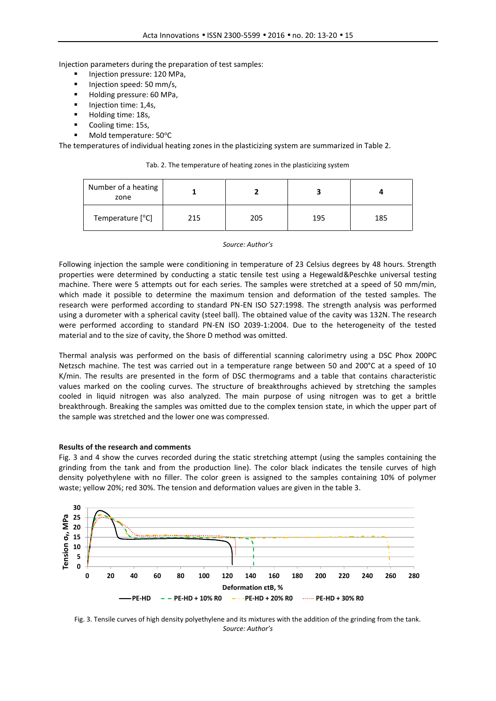Injection parameters during the preparation of test samples:

- Injection pressure: 120 MPa,
- Injection speed: 50 mm/s,
- Holding pressure: 60 MPa,
- **Injection time: 1,4s,**
- Holding time: 18s,
- Cooling time: 15s,
- Mold temperature: 50°C

The temperatures of individual heating zones in the plasticizing system are summarized in Table 2.

| Number of a heating<br>zone |     |     |     |     |
|-----------------------------|-----|-----|-----|-----|
| Temperature [°C]            | 215 | 205 | 195 | 185 |

### Tab. 2. The temperature of heating zones in the plasticizing system

### *Source: Author's*

Following injection the sample were conditioning in temperature of 23 Celsius degrees by 48 hours. Strength properties were determined by conducting a static tensile test using a Hegewald&Peschke universal testing machine. There were 5 attempts out for each series. The samples were stretched at a speed of 50 mm/min, which made it possible to determine the maximum tension and deformation of the tested samples. The research were performed according to standard PN-EN ISO 527:1998. The strength analysis was performed using a durometer with a spherical cavity (steel ball). The obtained value of the cavity was 132N. The research were performed according to standard PN-EN ISO 2039-1:2004. Due to the heterogeneity of the tested material and to the size of cavity, the Shore D method was omitted.

Thermal analysis was performed on the basis of differential scanning calorimetry using a DSC Phox 200PC Netzsch machine. The test was carried out in a temperature range between 50 and 200°C at a speed of 10 K/min. The results are presented in the form of DSC thermograms and a table that contains characteristic values marked on the cooling curves. The structure of breakthroughs achieved by stretching the samples cooled in liquid nitrogen was also analyzed. The main purpose of using nitrogen was to get a brittle breakthrough. Breaking the samples was omitted due to the complex tension state, in which the upper part of the sample was stretched and the lower one was compressed.

### **Results of the research and comments**

Fig. 3 and 4 show the curves recorded during the static stretching attempt (using the samples containing the grinding from the tank and from the production line). The color black indicates the tensile curves of high density polyethylene with no filler. The color green is assigned to the samples containing 10% of polymer waste; yellow 20%; red 30%. The tension and deformation values are given in the table 3.



Fig. 3. Tensile curves of high density polyethylene and its mixtures with the addition of the grinding from the tank. *Source: Author's*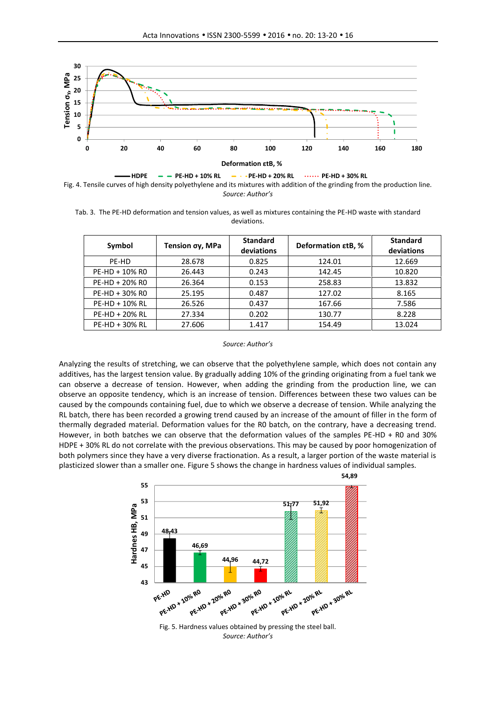



Tab. 3. The PE-HD deformation and tension values, as well as mixtures containing the PE-HD waste with standard deviations.

| Symbol         | Tension σy, MPa | <b>Standard</b><br>deviations | <b>Deformation ctB, %</b> | <b>Standard</b><br>deviations |
|----------------|-----------------|-------------------------------|---------------------------|-------------------------------|
| PE-HD          | 28.678          | 0.825                         | 124.01                    | 12.669                        |
| PE-HD + 10% RO | 26.443          | 0.243                         | 142.45                    | 10.820                        |
| PE-HD + 20% RO | 26.364          | 0.153                         | 258.83                    | 13.832                        |
| PE-HD + 30% RO | 25.195          | 0.487                         | 127.02                    | 8.165                         |
| PE-HD + 10% RL | 26.526          | 0.437                         | 167.66                    | 7.586                         |
| PE-HD + 20% RL | 27.334          | 0.202                         | 130.77                    | 8.228                         |
| PE-HD + 30% RL | 27.606          | 1.417                         | 154.49                    | 13.024                        |

*Source: Author's*

Analyzing the results of stretching, we can observe that the polyethylene sample, which does not contain any additives, has the largest tension value. By gradually adding 10% of the grinding originating from a fuel tank we can observe a decrease of tension. However, when adding the grinding from the production line, we can observe an opposite tendency, which is an increase of tension. Differences between these two values can be caused by the compounds containing fuel, due to which we observe a decrease of tension. While analyzing the RL batch, there has been recorded a growing trend caused by an increase of the amount of filler in the form of thermally degraded material. Deformation values for the R0 batch, on the contrary, have a decreasing trend. However, in both batches we can observe that the deformation values of the samples PE-HD + R0 and 30% HDPE + 30% RL do not correlate with the previous observations. This may be caused by poor homogenization of both polymers since they have a very diverse fractionation. As a result, a larger portion of the waste material is plasticized slower than a smaller one. Figure 5 shows the change in hardness values of individual samples.

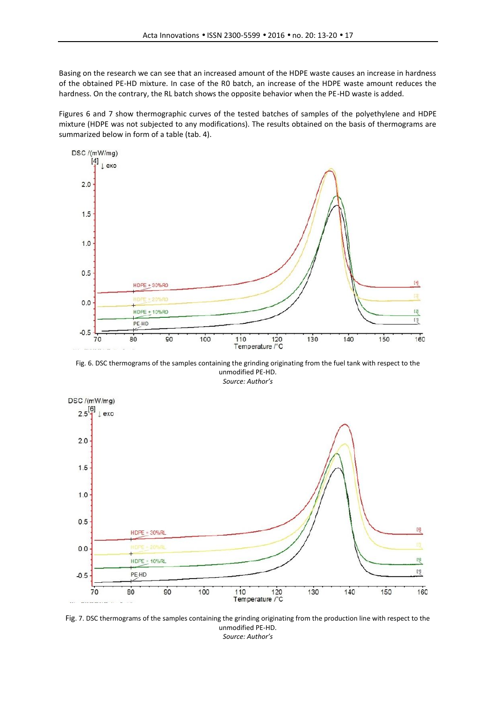Basing on the research we can see that an increased amount of the HDPE waste causes an increase in hardness of the obtained PE-HD mixture. In case of the R0 batch, an increase of the HDPE waste amount reduces the hardness. On the contrary, the RL batch shows the opposite behavior when the PE-HD waste is added.

Figures 6 and 7 show thermographic curves of the tested batches of samples of the polyethylene and HDPE mixture (HDPE was not subjected to any modifications). The results obtained on the basis of thermograms are summarized below in form of a table (tab. 4).



Fig. 6. DSC thermograms of the samples containing the grinding originating from the fuel tank with respect to the unmodified PE-HD.



Fig. 7. DSC thermograms of the samples containing the grinding originating from the production line with respect to the unmodified PE-HD. *Source: Author's*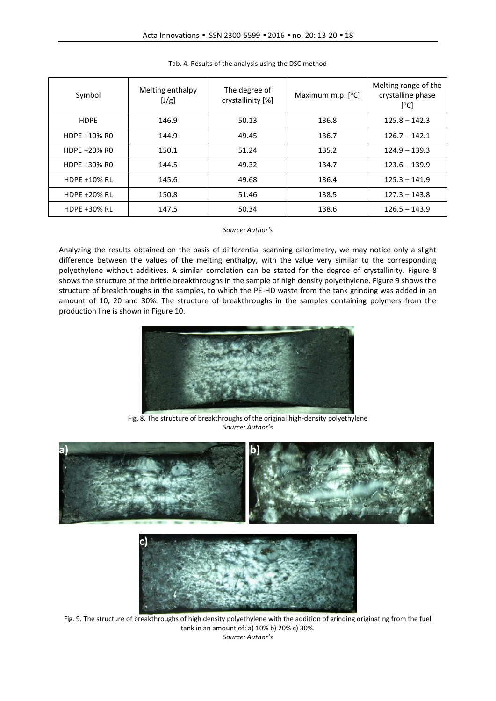| Symbol              | Melting enthalpy<br>[J/g] | The degree of<br>crystallinity [%] | Maximum m.p. $[°C]$ | Melting range of the<br>crystalline phase<br>[°C] |
|---------------------|---------------------------|------------------------------------|---------------------|---------------------------------------------------|
| <b>HDPE</b>         | 146.9                     | 50.13                              | 136.8               | $125.8 - 142.3$                                   |
| HDPE +10% RO        | 144.9                     | 49.45                              | 136.7               | $126.7 - 142.1$                                   |
| HDPE +20% RO        | 150.1                     | 51.24                              | 135.2               | $124.9 - 139.3$                                   |
| HDPE +30% RO        | 144.5                     | 49.32                              | 134.7               | $123.6 - 139.9$                                   |
| <b>HDPE +10% RL</b> | 145.6                     | 49.68                              | 136.4               | $125.3 - 141.9$                                   |
| <b>HDPE +20% RL</b> | 150.8                     | 51.46                              | 138.5               | $127.3 - 143.8$                                   |
| <b>HDPE +30% RL</b> | 147.5                     | 50.34                              | 138.6               | $126.5 - 143.9$                                   |

## Tab. 4. Results of the analysis using the DSC method

*Source: Author's*

Analyzing the results obtained on the basis of differential scanning calorimetry, we may notice only a slight difference between the values of the melting enthalpy, with the value very similar to the corresponding polyethylene without additives. A similar correlation can be stated for the degree of crystallinity. Figure 8 shows the structure of the brittle breakthroughs in the sample of high density polyethylene. Figure 9 shows the structure of breakthroughs in the samples, to which the PE-HD waste from the tank grinding was added in an amount of 10, 20 and 30%. The structure of breakthroughs in the samples containing polymers from the production line is shown in Figure 10.



Fig. 8. The structure of breakthroughs of the original high-density polyethylene *Source: Author's*





Fig. 9. The structure of breakthroughs of high density polyethylene with the addition of grinding originating from the fuel tank in an amount of: a) 10% b) 20% c) 30%. *Source: Author's*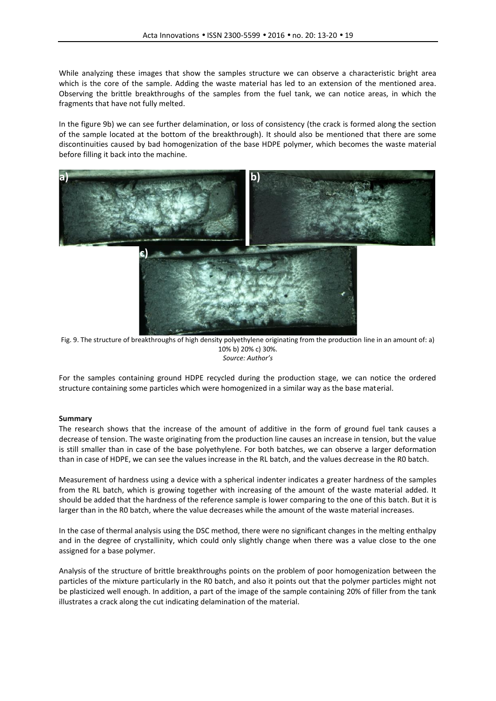While analyzing these images that show the samples structure we can observe a characteristic bright area which is the core of the sample. Adding the waste material has led to an extension of the mentioned area. Observing the brittle breakthroughs of the samples from the fuel tank, we can notice areas, in which the fragments that have not fully melted.

In the figure 9b) we can see further delamination, or loss of consistency (the crack is formed along the section of the sample located at the bottom of the breakthrough). It should also be mentioned that there are some discontinuities caused by bad homogenization of the base HDPE polymer, which becomes the waste material before filling it back into the machine.



Fig. 9. The structure of breakthroughs of high density polyethylene originating from the production line in an amount of: a) 10% b) 20% c) 30%. *Source: Author's*

For the samples containing ground HDPE recycled during the production stage, we can notice the ordered structure containing some particles which were homogenized in a similar way as the base material.

# **Summary**

The research shows that the increase of the amount of additive in the form of ground fuel tank causes a decrease of tension. The waste originating from the production line causes an increase in tension, but the value is still smaller than in case of the base polyethylene. For both batches, we can observe a larger deformation than in case of HDPE, we can see the values increase in the RL batch, and the values decrease in the R0 batch.

Measurement of hardness using a device with a spherical indenter indicates a greater hardness of the samples from the RL batch, which is growing together with increasing of the amount of the waste material added. It should be added that the hardness of the reference sample is lower comparing to the one of this batch. But it is larger than in the R0 batch, where the value decreases while the amount of the waste material increases.

In the case of thermal analysis using the DSC method, there were no significant changes in the melting enthalpy and in the degree of crystallinity, which could only slightly change when there was a value close to the one assigned for a base polymer.

Analysis of the structure of brittle breakthroughs points on the problem of poor homogenization between the particles of the mixture particularly in the R0 batch, and also it points out that the polymer particles might not be plasticized well enough. In addition, a part of the image of the sample containing 20% of filler from the tank illustrates a crack along the cut indicating delamination of the material.